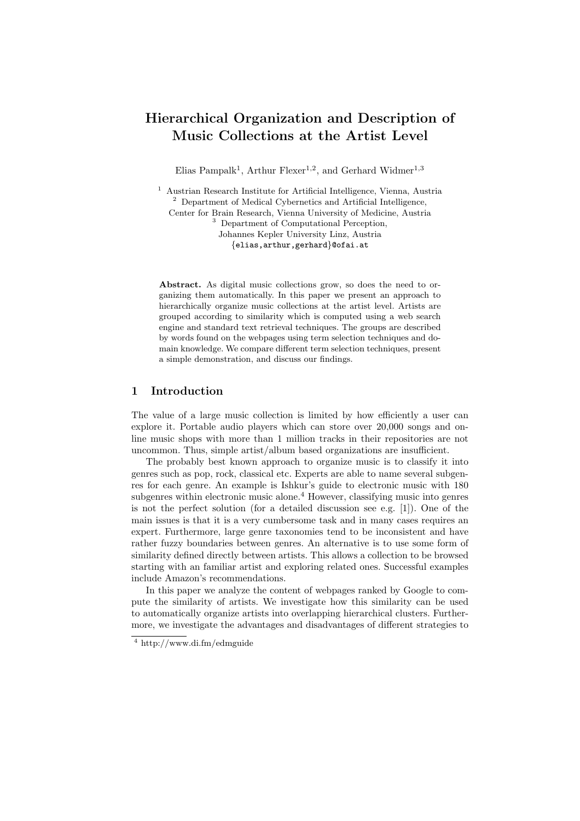# Hierarchical Organization and Description of Music Collections at the Artist Level

Elias Pampalk<sup>1</sup>, Arthur Flexer<sup>1,2</sup>, and Gerhard Widmer<sup>1,3</sup>

<sup>1</sup> Austrian Research Institute for Artificial Intelligence, Vienna, Austria  $^{\rm 2}$  Department of Medical Cybernetics and Artificial Intelligence, Center for Brain Research, Vienna University of Medicine, Austria <sup>3</sup> Department of Computational Perception, Johannes Kepler University Linz, Austria {elias,arthur,gerhard}@ofai.at

Abstract. As digital music collections grow, so does the need to organizing them automatically. In this paper we present an approach to hierarchically organize music collections at the artist level. Artists are grouped according to similarity which is computed using a web search engine and standard text retrieval techniques. The groups are described by words found on the webpages using term selection techniques and domain knowledge. We compare different term selection techniques, present a simple demonstration, and discuss our findings.

# 1 Introduction

The value of a large music collection is limited by how efficiently a user can explore it. Portable audio players which can store over 20,000 songs and online music shops with more than 1 million tracks in their repositories are not uncommon. Thus, simple artist/album based organizations are insufficient.

The probably best known approach to organize music is to classify it into genres such as pop, rock, classical etc. Experts are able to name several subgenres for each genre. An example is Ishkur's guide to electronic music with 180 subgenres within electronic music alone.<sup>4</sup> However, classifying music into genres is not the perfect solution (for a detailed discussion see e.g. [1]). One of the main issues is that it is a very cumbersome task and in many cases requires an expert. Furthermore, large genre taxonomies tend to be inconsistent and have rather fuzzy boundaries between genres. An alternative is to use some form of similarity defined directly between artists. This allows a collection to be browsed starting with an familiar artist and exploring related ones. Successful examples include Amazon's recommendations.

In this paper we analyze the content of webpages ranked by Google to compute the similarity of artists. We investigate how this similarity can be used to automatically organize artists into overlapping hierarchical clusters. Furthermore, we investigate the advantages and disadvantages of different strategies to

<sup>4</sup> http://www.di.fm/edmguide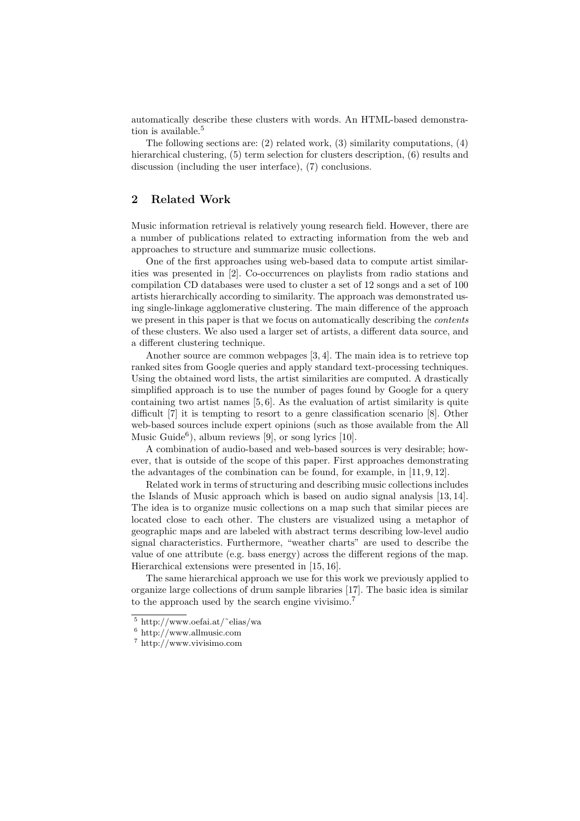automatically describe these clusters with words. An HTML-based demonstration is available.<sup>5</sup>

The following sections are: (2) related work, (3) similarity computations, (4) hierarchical clustering, (5) term selection for clusters description, (6) results and discussion (including the user interface), (7) conclusions.

# 2 Related Work

Music information retrieval is relatively young research field. However, there are a number of publications related to extracting information from the web and approaches to structure and summarize music collections.

One of the first approaches using web-based data to compute artist similarities was presented in [2]. Co-occurrences on playlists from radio stations and compilation CD databases were used to cluster a set of 12 songs and a set of 100 artists hierarchically according to similarity. The approach was demonstrated using single-linkage agglomerative clustering. The main difference of the approach we present in this paper is that we focus on automatically describing the *contents* of these clusters. We also used a larger set of artists, a different data source, and a different clustering technique.

Another source are common webpages [3, 4]. The main idea is to retrieve top ranked sites from Google queries and apply standard text-processing techniques. Using the obtained word lists, the artist similarities are computed. A drastically simplified approach is to use the number of pages found by Google for a query containing two artist names [5, 6]. As the evaluation of artist similarity is quite difficult [7] it is tempting to resort to a genre classification scenario [8]. Other web-based sources include expert opinions (such as those available from the All Music Guide<sup>6</sup>), album reviews [9], or song lyrics [10].

A combination of audio-based and web-based sources is very desirable; however, that is outside of the scope of this paper. First approaches demonstrating the advantages of the combination can be found, for example, in [11, 9, 12].

Related work in terms of structuring and describing music collections includes the Islands of Music approach which is based on audio signal analysis [13, 14]. The idea is to organize music collections on a map such that similar pieces are located close to each other. The clusters are visualized using a metaphor of geographic maps and are labeled with abstract terms describing low-level audio signal characteristics. Furthermore, "weather charts" are used to describe the value of one attribute (e.g. bass energy) across the different regions of the map. Hierarchical extensions were presented in [15, 16].

The same hierarchical approach we use for this work we previously applied to organize large collections of drum sample libraries [17]. The basic idea is similar to the approach used by the search engine vivisimo.<sup>7</sup>

<sup>5</sup> http://www.oefai.at/˜elias/wa

 $6 \text{ http://www.allmusic.com}$ 

<sup>7</sup> http://www.vivisimo.com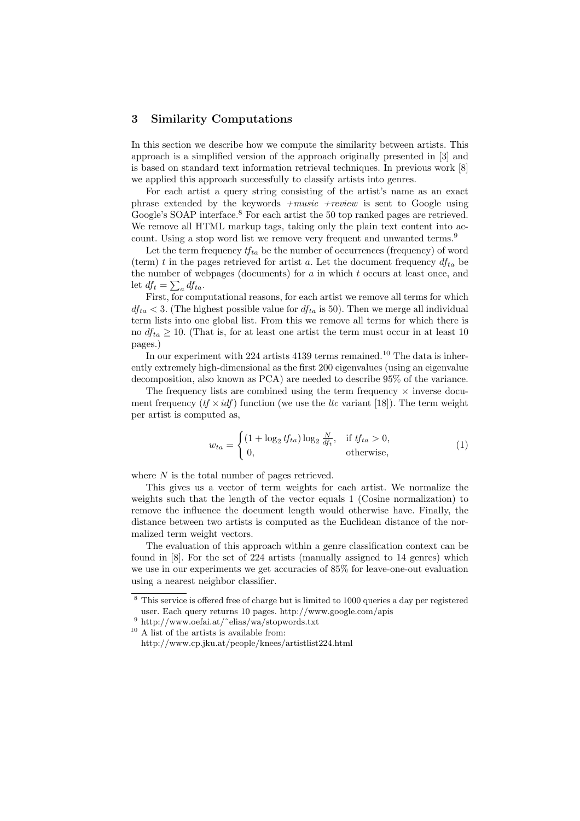## 3 Similarity Computations

In this section we describe how we compute the similarity between artists. This approach is a simplified version of the approach originally presented in [3] and is based on standard text information retrieval techniques. In previous work [8] we applied this approach successfully to classify artists into genres.

For each artist a query string consisting of the artist's name as an exact phrase extended by the keywords  $+music$  +review is sent to Google using Google's SOAP interface.<sup>8</sup> For each artist the 50 top ranked pages are retrieved. We remove all HTML markup tags, taking only the plain text content into account. Using a stop word list we remove very frequent and unwanted terms.<sup>9</sup>

Let the term frequency  $tf_{ta}$  be the number of occurrences (frequency) of word (term) t in the pages retrieved for artist a. Let the document frequency  $df_{ta}$  be the number of webpages (documents) for  $a$  in which  $t$  occurs at least once, and let  $df_t = \sum_a df_{ta}$ .

First, for computational reasons, for each artist we remove all terms for which  $df_{ta}$  < 3. (The highest possible value for  $df_{ta}$  is 50). Then we merge all individual term lists into one global list. From this we remove all terms for which there is no  $df_{ta} \geq 10$ . (That is, for at least one artist the term must occur in at least 10 pages.)

In our experiment with 224 artists 4139 terms remained.<sup>10</sup> The data is inherently extremely high-dimensional as the first 200 eigenvalues (using an eigenvalue decomposition, also known as PCA) are needed to describe 95% of the variance.

The frequency lists are combined using the term frequency  $\times$  inverse document frequency  $(tf \times idf)$  function (we use the *ltc* variant [18]). The term weight per artist is computed as,

$$
w_{ta} = \begin{cases} (1 + \log_2 t f_{ta}) \log_2 \frac{N}{df_t}, & \text{if } tf_{ta} > 0, \\ 0, & \text{otherwise,} \end{cases}
$$
(1)

where  $N$  is the total number of pages retrieved.

This gives us a vector of term weights for each artist. We normalize the weights such that the length of the vector equals 1 (Cosine normalization) to remove the influence the document length would otherwise have. Finally, the distance between two artists is computed as the Euclidean distance of the normalized term weight vectors.

The evaluation of this approach within a genre classification context can be found in [8]. For the set of 224 artists (manually assigned to 14 genres) which we use in our experiments we get accuracies of 85% for leave-one-out evaluation using a nearest neighbor classifier.

<sup>8</sup> This service is offered free of charge but is limited to 1000 queries a day per registered user. Each query returns 10 pages. http://www.google.com/apis

 $^9$ http://www.oefai.at/~elias/wa/stopwords.txt

 $10\,$  A list of the artists is available from:

http://www.cp.jku.at/people/knees/artistlist224.html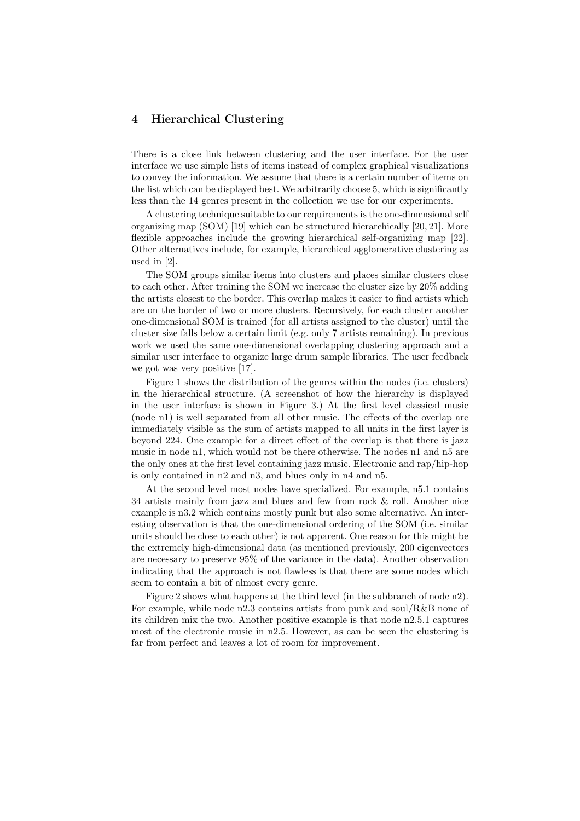# 4 Hierarchical Clustering

There is a close link between clustering and the user interface. For the user interface we use simple lists of items instead of complex graphical visualizations to convey the information. We assume that there is a certain number of items on the list which can be displayed best. We arbitrarily choose 5, which is significantly less than the 14 genres present in the collection we use for our experiments.

A clustering technique suitable to our requirements is the one-dimensional self organizing map (SOM) [19] which can be structured hierarchically [20, 21]. More flexible approaches include the growing hierarchical self-organizing map [22]. Other alternatives include, for example, hierarchical agglomerative clustering as used in [2].

The SOM groups similar items into clusters and places similar clusters close to each other. After training the SOM we increase the cluster size by 20% adding the artists closest to the border. This overlap makes it easier to find artists which are on the border of two or more clusters. Recursively, for each cluster another one-dimensional SOM is trained (for all artists assigned to the cluster) until the cluster size falls below a certain limit (e.g. only 7 artists remaining). In previous work we used the same one-dimensional overlapping clustering approach and a similar user interface to organize large drum sample libraries. The user feedback we got was very positive [17].

Figure 1 shows the distribution of the genres within the nodes (i.e. clusters) in the hierarchical structure. (A screenshot of how the hierarchy is displayed in the user interface is shown in Figure 3.) At the first level classical music (node n1) is well separated from all other music. The effects of the overlap are immediately visible as the sum of artists mapped to all units in the first layer is beyond 224. One example for a direct effect of the overlap is that there is jazz music in node n1, which would not be there otherwise. The nodes n1 and n5 are the only ones at the first level containing jazz music. Electronic and rap/hip-hop is only contained in n2 and n3, and blues only in n4 and n5.

At the second level most nodes have specialized. For example, n5.1 contains 34 artists mainly from jazz and blues and few from rock & roll. Another nice example is n3.2 which contains mostly punk but also some alternative. An interesting observation is that the one-dimensional ordering of the SOM (i.e. similar units should be close to each other) is not apparent. One reason for this might be the extremely high-dimensional data (as mentioned previously, 200 eigenvectors are necessary to preserve 95% of the variance in the data). Another observation indicating that the approach is not flawless is that there are some nodes which seem to contain a bit of almost every genre.

Figure 2 shows what happens at the third level (in the subbranch of node n2). For example, while node n2.3 contains artists from punk and soul/R&B none of its children mix the two. Another positive example is that node n2.5.1 captures most of the electronic music in n2.5. However, as can be seen the clustering is far from perfect and leaves a lot of room for improvement.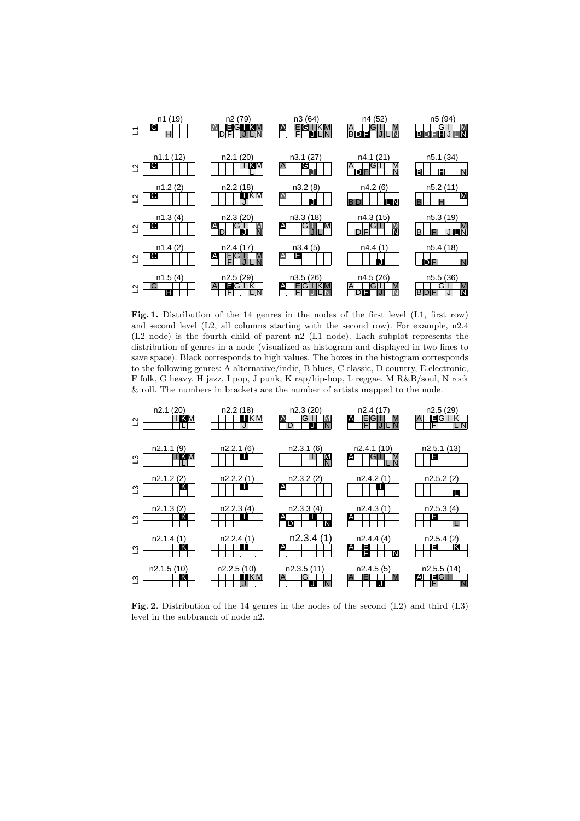

Fig. 1. Distribution of the 14 genres in the nodes of the first level (L1, first row) and second level (L2, all columns starting with the second row). For example, n2.4 (L2 node) is the fourth child of parent n2 (L1 node). Each subplot represents the distribution of genres in a node (visualized as histogram and displayed in two lines to save space). Black corresponds to high values. The boxes in the histogram corresponds to the following genres: A alternative/indie, B blues, C classic, D country, E electronic, F folk, G heavy, H jazz, I pop, J punk, K rap/hip-hop, L reggae, M R&B/soul, N rock & roll. The numbers in brackets are the number of artists mapped to the node.



Fig. 2. Distribution of the 14 genres in the nodes of the second (L2) and third (L3) level in the subbranch of node n2.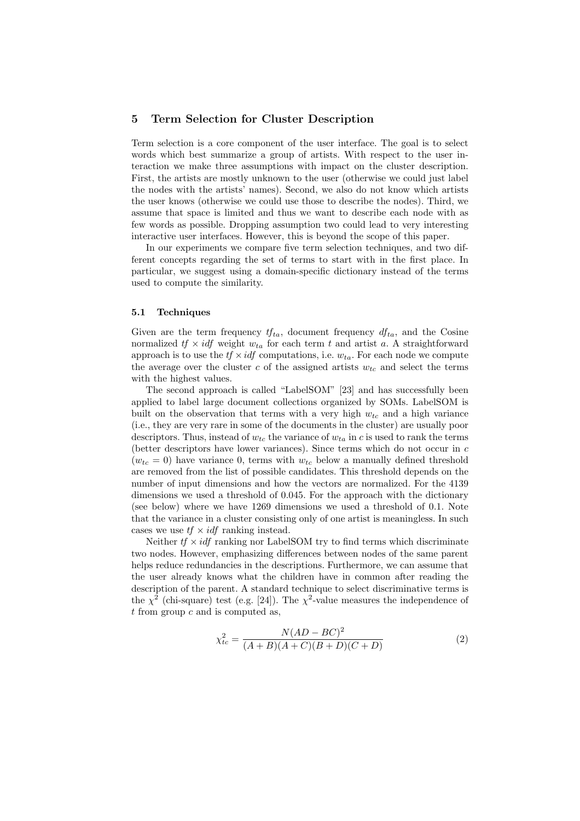## 5 Term Selection for Cluster Description

Term selection is a core component of the user interface. The goal is to select words which best summarize a group of artists. With respect to the user interaction we make three assumptions with impact on the cluster description. First, the artists are mostly unknown to the user (otherwise we could just label the nodes with the artists' names). Second, we also do not know which artists the user knows (otherwise we could use those to describe the nodes). Third, we assume that space is limited and thus we want to describe each node with as few words as possible. Dropping assumption two could lead to very interesting interactive user interfaces. However, this is beyond the scope of this paper.

In our experiments we compare five term selection techniques, and two different concepts regarding the set of terms to start with in the first place. In particular, we suggest using a domain-specific dictionary instead of the terms used to compute the similarity.

#### 5.1 Techniques

Given are the term frequency  $tf_{ta}$ , document frequency  $df_{ta}$ , and the Cosine normalized  $tf \times idf$  weight  $w_{ta}$  for each term t and artist a. A straightforward approach is to use the  $tf \times idf$  computations, i.e.  $w_{ta}$ . For each node we compute the average over the cluster c of the assigned artists  $w_{tc}$  and select the terms with the highest values.

The second approach is called "LabelSOM" [23] and has successfully been applied to label large document collections organized by SOMs. LabelSOM is built on the observation that terms with a very high  $w_{tc}$  and a high variance (i.e., they are very rare in some of the documents in the cluster) are usually poor descriptors. Thus, instead of  $w_{tc}$  the variance of  $w_{ta}$  in c is used to rank the terms (better descriptors have lower variances). Since terms which do not occur in c  $(w_{tc} = 0)$  have variance 0, terms with  $w_{tc}$  below a manually defined threshold are removed from the list of possible candidates. This threshold depends on the number of input dimensions and how the vectors are normalized. For the 4139 dimensions we used a threshold of 0.045. For the approach with the dictionary (see below) where we have 1269 dimensions we used a threshold of 0.1. Note that the variance in a cluster consisting only of one artist is meaningless. In such cases we use  $tf \times idf$  ranking instead.

Neither  $tf \times idf$  ranking nor LabelSOM try to find terms which discriminate two nodes. However, emphasizing differences between nodes of the same parent helps reduce redundancies in the descriptions. Furthermore, we can assume that the user already knows what the children have in common after reading the description of the parent. A standard technique to select discriminative terms is the  $\chi^2$  (chi-square) test (e.g. [24]). The  $\chi^2$ -value measures the independence of  $t$  from group  $c$  and is computed as,

$$
\chi_{tc}^2 = \frac{N(AD - BC)^2}{(A + B)(A + C)(B + D)(C + D)}
$$
(2)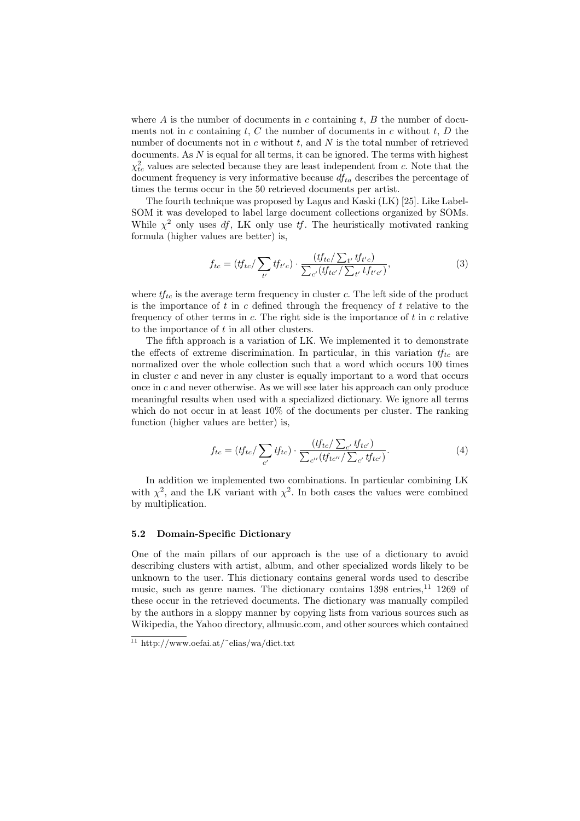where A is the number of documents in c containing  $t, B$  the number of documents not in c containing  $t, C$  the number of documents in c without  $t, D$  the number of documents not in  $c$  without  $t$ , and  $N$  is the total number of retrieved documents. As  $N$  is equal for all terms, it can be ignored. The terms with highest  $\chi^2_{tc}$  values are selected because they are least independent from c. Note that the document frequency is very informative because  $df_{ta}$  describes the percentage of times the terms occur in the 50 retrieved documents per artist.

The fourth technique was proposed by Lagus and Kaski (LK) [25]. Like Label-SOM it was developed to label large document collections organized by SOMs. While  $\chi^2$  only uses df, LK only use tf. The heuristically motivated ranking formula (higher values are better) is,

$$
f_{tc} = (tf_{tc}/\sum_{t'} tf_{t'c}) \cdot \frac{(tf_{tc}/\sum_{t'} tf_{t'c})}{\sum_{c'} (tf_{tc'}/\sum_{t'} tf_{t'c'})},
$$
\n(3)

where  $tf_{tc}$  is the average term frequency in cluster c. The left side of the product is the importance of t in c defined through the frequency of t relative to the frequency of other terms in  $c$ . The right side is the importance of  $t$  in  $c$  relative to the importance of  $t$  in all other clusters.

The fifth approach is a variation of LK. We implemented it to demonstrate the effects of extreme discrimination. In particular, in this variation  $tf_{tc}$  are normalized over the whole collection such that a word which occurs 100 times in cluster  $c$  and never in any cluster is equally important to a word that occurs once in  $c$  and never otherwise. As we will see later his approach can only produce meaningful results when used with a specialized dictionary. We ignore all terms which do not occur in at least  $10\%$  of the documents per cluster. The ranking function (higher values are better) is,

$$
f_{tc} = (tf_{tc}/\sum_{c'} tf_{tc}) \cdot \frac{(tf_{tc}/\sum_{c'} tf_{tc'})}{\sum_{c''}(tf_{tc''}/\sum_{c'} tf_{tc'})}.
$$
 (4)

In addition we implemented two combinations. In particular combining LK with  $\chi^2$ , and the LK variant with  $\chi^2$ . In both cases the values were combined by multiplication.

#### 5.2 Domain-Specific Dictionary

One of the main pillars of our approach is the use of a dictionary to avoid describing clusters with artist, album, and other specialized words likely to be unknown to the user. This dictionary contains general words used to describe music, such as genre names. The dictionary contains  $1398$  entries,  $11$   $1269$  of these occur in the retrieved documents. The dictionary was manually compiled by the authors in a sloppy manner by copying lists from various sources such as Wikipedia, the Yahoo directory, allmusic.com, and other sources which contained

<sup>&</sup>lt;sup>11</sup> http://www.oefai.at/ $\tilde{\text{}$ elias/wa/dict.txt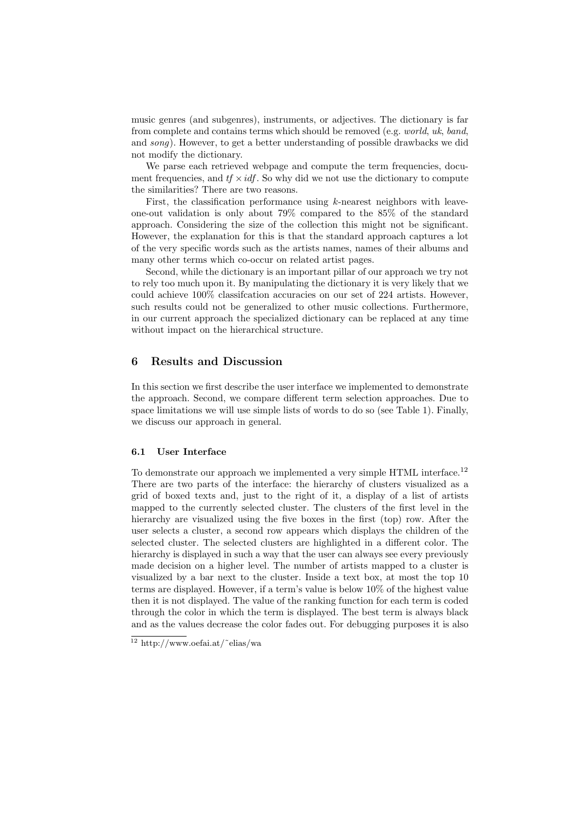music genres (and subgenres), instruments, or adjectives. The dictionary is far from complete and contains terms which should be removed (e.g. world, uk, band, and song). However, to get a better understanding of possible drawbacks we did not modify the dictionary.

We parse each retrieved webpage and compute the term frequencies, document frequencies, and  $tf \times idf$ . So why did we not use the dictionary to compute the similarities? There are two reasons.

First, the classification performance using  $k$ -nearest neighbors with leaveone-out validation is only about 79% compared to the 85% of the standard approach. Considering the size of the collection this might not be significant. However, the explanation for this is that the standard approach captures a lot of the very specific words such as the artists names, names of their albums and many other terms which co-occur on related artist pages.

Second, while the dictionary is an important pillar of our approach we try not to rely too much upon it. By manipulating the dictionary it is very likely that we could achieve 100% classifcation accuracies on our set of 224 artists. However, such results could not be generalized to other music collections. Furthermore, in our current approach the specialized dictionary can be replaced at any time without impact on the hierarchical structure.

## 6 Results and Discussion

In this section we first describe the user interface we implemented to demonstrate the approach. Second, we compare different term selection approaches. Due to space limitations we will use simple lists of words to do so (see Table 1). Finally, we discuss our approach in general.

## 6.1 User Interface

To demonstrate our approach we implemented a very simple HTML interface.<sup>12</sup> There are two parts of the interface: the hierarchy of clusters visualized as a grid of boxed texts and, just to the right of it, a display of a list of artists mapped to the currently selected cluster. The clusters of the first level in the hierarchy are visualized using the five boxes in the first (top) row. After the user selects a cluster, a second row appears which displays the children of the selected cluster. The selected clusters are highlighted in a different color. The hierarchy is displayed in such a way that the user can always see every previously made decision on a higher level. The number of artists mapped to a cluster is visualized by a bar next to the cluster. Inside a text box, at most the top 10 terms are displayed. However, if a term's value is below 10% of the highest value then it is not displayed. The value of the ranking function for each term is coded through the color in which the term is displayed. The best term is always black and as the values decrease the color fades out. For debugging purposes it is also

 $12 \text{ http://www.oefai.at/~elias/wa}$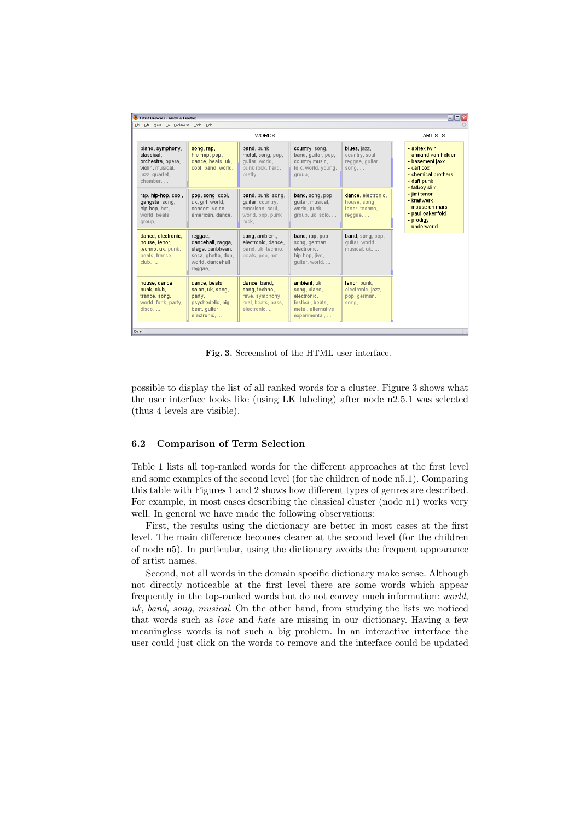| $\Box$ e $\times$<br>Artist Browser - Mozilla Firefox<br>File Edit View Go<br>Bookmarks Tools<br>Help |                                                                                                        |                                                                                      |                                                                                                         |                                                                 |                                                                                                                             |  |
|-------------------------------------------------------------------------------------------------------|--------------------------------------------------------------------------------------------------------|--------------------------------------------------------------------------------------|---------------------------------------------------------------------------------------------------------|-----------------------------------------------------------------|-----------------------------------------------------------------------------------------------------------------------------|--|
|                                                                                                       | -- ARTISTS --                                                                                          |                                                                                      |                                                                                                         |                                                                 |                                                                                                                             |  |
| piano, symphony,<br>classical.<br>orchestra, opera.<br>violin, musical,<br>jazz, quartet,<br>chamber  | song, rap,<br>hip-hop, pop,<br>dance, beats, uk.<br>cool, band, world,<br>$\cdots$                     | band, punk,<br>metal, song, pop,<br>quitar, world,<br>punk rock, hard,<br>pretty,    | country, song,<br>band, guitar, pop,<br>country music.<br>folk, world, young,<br>group,                 | blues, jazz,<br>country, soul.<br>reggae, quitar,<br>sonq,      | - aphex twin<br>- armand van helden<br>- basement jaxx<br>- carl cox<br>- chemical brothers<br>- daft punk<br>- fatboy slim |  |
| rap, hip-hop, cool,<br>gangsta, song,<br>hip hop, hot,<br>world, beats,<br>group,                     | pop, song, cool,<br>uk, girl, world,<br>concert, voice,<br>american, dance,<br>$\cdots$                | band, punk, song,<br>quitar, country,<br>american, soul,<br>world, pop, punk<br>rock | band, song, pop,<br>quitar, musical,<br>world, punk,<br>group, uk, solo,                                | dance, electronic.<br>house, song,<br>tenor, techno,<br>reggae, | - jimi tenor<br>- kraftwerk<br>- mouse on mars<br>- paul oakenfold<br>- prodigy<br>- underworld                             |  |
| dance, electronic.<br>house, tenor.<br>techno, uk. punk.<br>beats, trance,<br>$club.$                 | reggae,<br>dancehall, ragga,<br>stage, caribbean,<br>soca, ghetto, dub.<br>world, dancehall<br>reggae, | song, ambient,<br>electronic, dance,<br>band, uk, techno,<br>beats, pop. hot         | band, rap, pop,<br>song, german,<br>electronic.<br>hip-hop, jive,<br>quitar, world,                     | band, song, pop.<br>quitar, world,<br>musical, uk.              |                                                                                                                             |  |
| house, dance,<br>punk, club,<br>trance, song,<br>world, funk, party,<br>disco,                        | dance, beats,<br>salon, uk, song,<br>party.<br>psychedelic, big<br>beat, quitar,<br>electronic,        | dance, band.<br>song, techno,<br>rave, symphony,<br>real, beats, bass,<br>electronic | ambient, uk.<br>song, piano,<br>electronic.<br>festival, beats,<br>metal, alternative,<br>experimental, | tenor, punk,<br>electronic, jazz,<br>pop, german,<br>song,      |                                                                                                                             |  |
| Done                                                                                                  |                                                                                                        |                                                                                      |                                                                                                         |                                                                 |                                                                                                                             |  |

Fig. 3. Screenshot of the HTML user interface.

possible to display the list of all ranked words for a cluster. Figure 3 shows what the user interface looks like (using LK labeling) after node n2.5.1 was selected (thus 4 levels are visible).

#### 6.2 Comparison of Term Selection

Table 1 lists all top-ranked words for the different approaches at the first level and some examples of the second level (for the children of node n5.1). Comparing this table with Figures 1 and 2 shows how different types of genres are described. For example, in most cases describing the classical cluster (node n1) works very well. In general we have made the following observations:

First, the results using the dictionary are better in most cases at the first level. The main difference becomes clearer at the second level (for the children of node n5). In particular, using the dictionary avoids the frequent appearance of artist names.

Second, not all words in the domain specific dictionary make sense. Although not directly noticeable at the first level there are some words which appear frequently in the top-ranked words but do not convey much information: world, uk, band, song, musical. On the other hand, from studying the lists we noticed that words such as love and hate are missing in our dictionary. Having a few meaningless words is not such a big problem. In an interactive interface the user could just click on the words to remove and the interface could be updated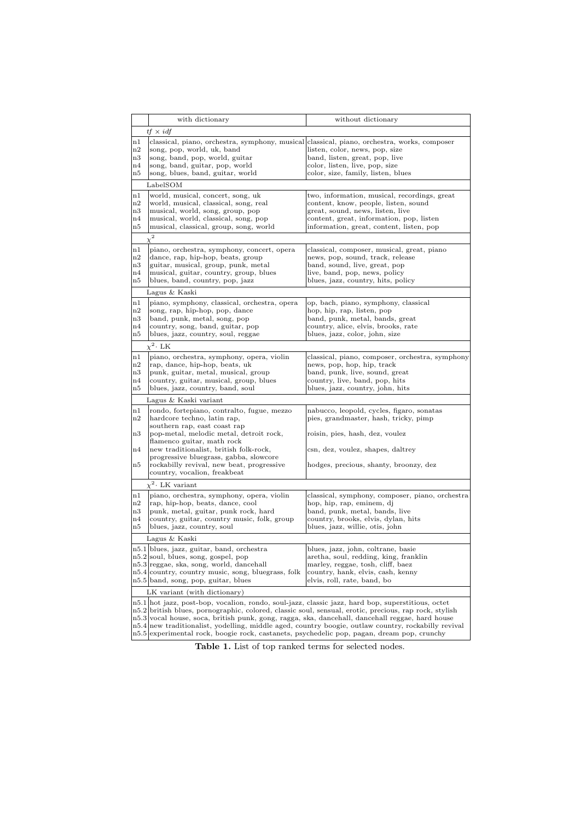|                                                                                                                                                                                                                                                                                                                                                                                                                                                                                                                    | with dictionary                                                                                                                                                                                                                   | without dictionary                                                                                                                                                                                               |  |  |  |  |
|--------------------------------------------------------------------------------------------------------------------------------------------------------------------------------------------------------------------------------------------------------------------------------------------------------------------------------------------------------------------------------------------------------------------------------------------------------------------------------------------------------------------|-----------------------------------------------------------------------------------------------------------------------------------------------------------------------------------------------------------------------------------|------------------------------------------------------------------------------------------------------------------------------------------------------------------------------------------------------------------|--|--|--|--|
|                                                                                                                                                                                                                                                                                                                                                                                                                                                                                                                    | $tf \times idf$                                                                                                                                                                                                                   |                                                                                                                                                                                                                  |  |  |  |  |
| n1<br>n2<br>n3<br>n4<br>n5                                                                                                                                                                                                                                                                                                                                                                                                                                                                                         | classical, piano, orchestra, symphony, musical classical, piano, orchestra, works, composer<br>song, pop, world, uk, band<br>song, band, pop, world, guitar<br>song, band, guitar, pop, world<br>song, blues, band, guitar, world | listen, color, news, pop, size<br>band, listen, great, pop, live<br>color, listen, live, pop, size<br>color, size, family, listen, blues                                                                         |  |  |  |  |
|                                                                                                                                                                                                                                                                                                                                                                                                                                                                                                                    | ${\rm \scriptstyle{Label SOM}}$                                                                                                                                                                                                   |                                                                                                                                                                                                                  |  |  |  |  |
| n1<br>n2<br>n3<br>n4<br>n5                                                                                                                                                                                                                                                                                                                                                                                                                                                                                         | world, musical, concert, song, uk<br>world, musical, classical, song, real<br>musical, world, song, group, pop<br>musical, world, classical, song, pop<br>musical, classical, group, song, world                                  | two, information, musical, recordings, great<br>content, know, people, listen, sound<br>great, sound, news, listen, live<br>content, great, information, pop, listen<br>information, great, content, listen, pop |  |  |  |  |
|                                                                                                                                                                                                                                                                                                                                                                                                                                                                                                                    |                                                                                                                                                                                                                                   |                                                                                                                                                                                                                  |  |  |  |  |
| n1<br>n2<br>n3<br>$^{\rm n4}$<br>n5                                                                                                                                                                                                                                                                                                                                                                                                                                                                                | piano, orchestra, symphony, concert, opera<br>dance, rap, hip-hop, beats, group<br>guitar, musical, group, punk, metal<br>musical, guitar, country, group, blues<br>blues, band, country, pop, jazz                               | classical, composer, musical, great, piano<br>news, pop, sound, track, release<br>band, sound, live, great, pop<br>live, band, pop, news, policy<br>blues, jazz, country, hits, policy                           |  |  |  |  |
|                                                                                                                                                                                                                                                                                                                                                                                                                                                                                                                    | Lagus & Kaski                                                                                                                                                                                                                     |                                                                                                                                                                                                                  |  |  |  |  |
| n1<br>n2<br>n3<br>n4<br>n5                                                                                                                                                                                                                                                                                                                                                                                                                                                                                         | piano, symphony, classical, orchestra, opera<br>song, rap, hip-hop, pop, dance<br>band, punk, metal, song, pop<br>country, song, band, guitar, pop<br>blues, jazz, country, soul, reggae                                          | op, bach, piano, symphony, classical<br>hop, hip, rap, listen, pop<br>band, punk, metal, bands, great<br>country, alice, elvis, brooks, rate<br>blues, jazz, color, john, size                                   |  |  |  |  |
|                                                                                                                                                                                                                                                                                                                                                                                                                                                                                                                    | $\chi^2$ . LK                                                                                                                                                                                                                     |                                                                                                                                                                                                                  |  |  |  |  |
| n1<br>n2<br>n3<br>n4<br>n5                                                                                                                                                                                                                                                                                                                                                                                                                                                                                         | piano, orchestra, symphony, opera, violin<br>rap, dance, hip-hop, beats, uk<br>punk, guitar, metal, musical, group<br>country, guitar, musical, group, blues<br>blues, jazz, country, band, soul                                  | classical, piano, composer, orchestra, symphony<br>news, pop, hop, hip, track<br>band, punk, live, sound, great<br>country, live, band, pop, hits<br>blues, jazz, country, john, hits                            |  |  |  |  |
|                                                                                                                                                                                                                                                                                                                                                                                                                                                                                                                    | Lagus & Kaski variant                                                                                                                                                                                                             |                                                                                                                                                                                                                  |  |  |  |  |
| n1<br>n2<br>n3<br>n4                                                                                                                                                                                                                                                                                                                                                                                                                                                                                               | rondo, fortepiano, contralto, fugue, mezzo<br>hardcore techno, latin rap,<br>southern rap, east coast rap<br>pop-metal, melodic metal, detroit rock,<br>flamenco guitar, math rock<br>new traditionalist, british folk-rock,      | nabucco, leopold, cycles, figaro, sonatas<br>pies, grandmaster, hash, tricky, pimp<br>roisin, pies, hash, dez, voulez<br>csn, dez, voulez, shapes, daltrey                                                       |  |  |  |  |
| n5                                                                                                                                                                                                                                                                                                                                                                                                                                                                                                                 | progressive bluegrass, gabba, slowcore<br>rockabilly revival, new beat, progressive<br>country, vocalion, freakbeat                                                                                                               | hodges, precious, shanty, broonzy, dez                                                                                                                                                                           |  |  |  |  |
|                                                                                                                                                                                                                                                                                                                                                                                                                                                                                                                    | $\chi^2$ . LK variant                                                                                                                                                                                                             |                                                                                                                                                                                                                  |  |  |  |  |
| n1<br>n2<br>n3<br>n4<br>n5                                                                                                                                                                                                                                                                                                                                                                                                                                                                                         | piano, orchestra, symphony, opera, violin<br>rap, hip-hop, beats, dance, cool<br>punk, metal, guitar, punk rock, hard<br>country, guitar, country music, folk, group<br>blues, jazz, country, soul                                | classical, symphony, composer, piano, orchestra<br>hop, hip, rap, eminem, dj<br>band, punk, metal, bands, live<br>country, brooks, elvis, dylan, hits<br>blues, jazz, willie, otis, john                         |  |  |  |  |
| Lagus & Kaski                                                                                                                                                                                                                                                                                                                                                                                                                                                                                                      |                                                                                                                                                                                                                                   |                                                                                                                                                                                                                  |  |  |  |  |
|                                                                                                                                                                                                                                                                                                                                                                                                                                                                                                                    | n5.1 blues, jazz, guitar, band, orchestra<br>$n5.2$ soul, blues, song, gospel, pop<br>$n5.3$ reggae, ska, song, world, dancehall<br>$n5.4$ country, country music, song, bluegrass, folk<br>n5.5 band, song, pop, guitar, blues   | blues, jazz, john, coltrane, basie<br>aretha, soul, redding, king, franklin<br>marley, reggae, tosh, cliff, baez<br>country, hank, elvis, cash, kenny<br>elvis, roll, rate, band, bo                             |  |  |  |  |
| LK variant (with dictionary)                                                                                                                                                                                                                                                                                                                                                                                                                                                                                       |                                                                                                                                                                                                                                   |                                                                                                                                                                                                                  |  |  |  |  |
| n5.1 hot jazz, post-bop, vocalion, rondo, soul-jazz, classic jazz, hard bop, superstitious, octet<br>n5.2 british blues, pornographic, colored, classic soul, sensual, erotic, precious, rap rock, stylish<br>n5.3 vocal house, soca, british punk, gong, ragga, ska, dancehall, dancehall reggae, hard house<br>n5.4 new traditionalist, yodelling, middle aged, country boogie, outlaw country, rockabilly revival<br>n5.5 experimental rock, boogie rock, castanets, psychodelic pop, pagan, dream pop, crunchy |                                                                                                                                                                                                                                   |                                                                                                                                                                                                                  |  |  |  |  |

Table 1. List of top ranked terms for selected nodes.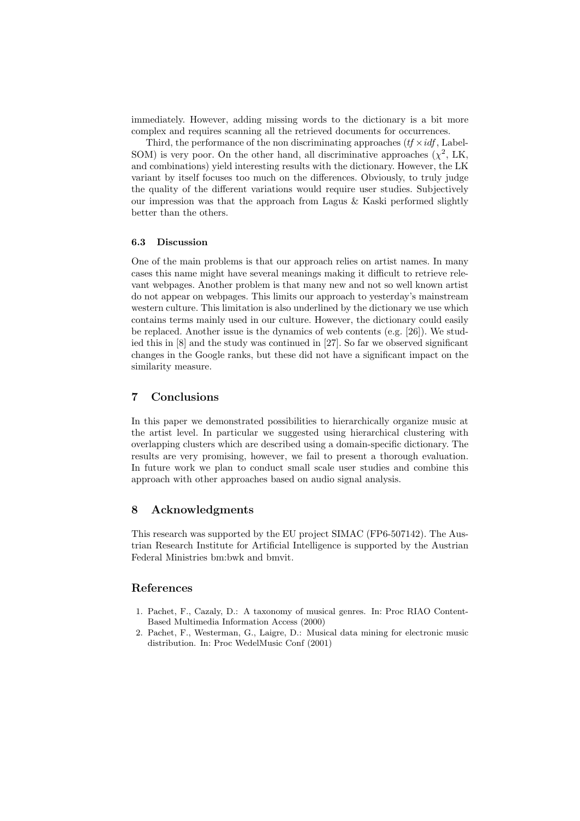immediately. However, adding missing words to the dictionary is a bit more complex and requires scanning all the retrieved documents for occurrences.

Third, the performance of the non discriminating approaches  $(tf \times idf$ , Label-SOM) is very poor. On the other hand, all discriminative approaches  $(\chi^2, LK,$ and combinations) yield interesting results with the dictionary. However, the LK variant by itself focuses too much on the differences. Obviously, to truly judge the quality of the different variations would require user studies. Subjectively our impression was that the approach from Lagus & Kaski performed slightly better than the others.

### 6.3 Discussion

One of the main problems is that our approach relies on artist names. In many cases this name might have several meanings making it difficult to retrieve relevant webpages. Another problem is that many new and not so well known artist do not appear on webpages. This limits our approach to yesterday's mainstream western culture. This limitation is also underlined by the dictionary we use which contains terms mainly used in our culture. However, the dictionary could easily be replaced. Another issue is the dynamics of web contents (e.g. [26]). We studied this in [8] and the study was continued in [27]. So far we observed significant changes in the Google ranks, but these did not have a significant impact on the similarity measure.

## 7 Conclusions

In this paper we demonstrated possibilities to hierarchically organize music at the artist level. In particular we suggested using hierarchical clustering with overlapping clusters which are described using a domain-specific dictionary. The results are very promising, however, we fail to present a thorough evaluation. In future work we plan to conduct small scale user studies and combine this approach with other approaches based on audio signal analysis.

# 8 Acknowledgments

This research was supported by the EU project SIMAC (FP6-507142). The Austrian Research Institute for Artificial Intelligence is supported by the Austrian Federal Ministries bm:bwk and bmvit.

## References

- 1. Pachet, F., Cazaly, D.: A taxonomy of musical genres. In: Proc RIAO Content-Based Multimedia Information Access (2000)
- 2. Pachet, F., Westerman, G., Laigre, D.: Musical data mining for electronic music distribution. In: Proc WedelMusic Conf (2001)